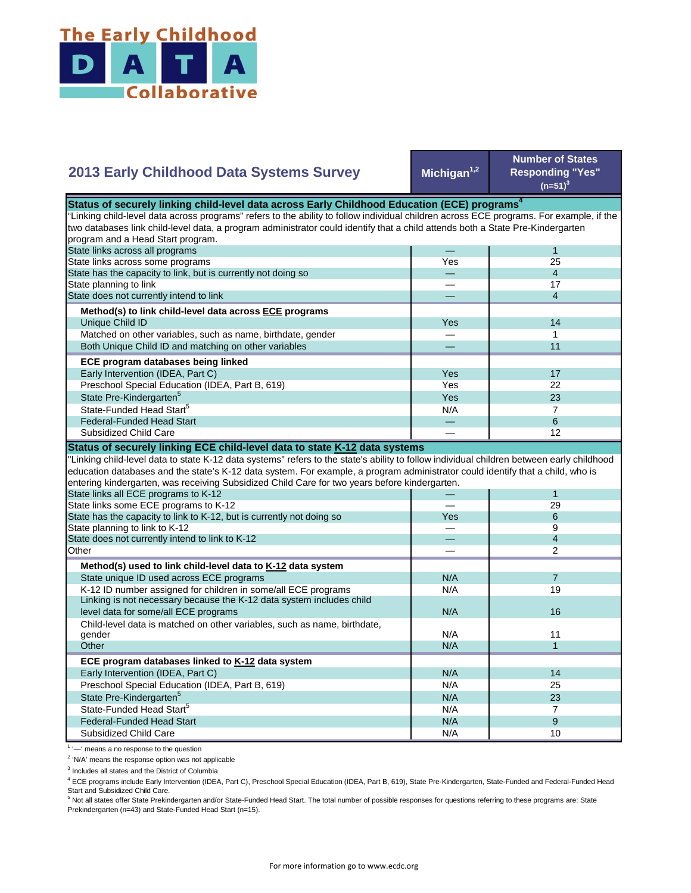

## Michigan<sup>1,2</sup> **Number of States Responding "Yes"**   $(n=51)^{3}$ — 1 Yes 25 — 4 — 17 — 4 Yes **I** 14 — 1 — 11 Yes I 17 Yes 22  $Yes$  23  $N/A$  7 State Pre-Kindergarten<sup>5</sup> State-Funded Head Start<sup>5</sup> Matched on other variables, such as name, birthdate, gender Both Unique Child ID and matching on other variables  **ECE program databases being linked**  Early Intervention (IDEA, Part C) Preschool Special Education (IDEA, Part B, 619) State has the capacity to link, but is currently not doing so State planning to link State does not currently intend to link  **Method(s) to link child-level data across ECE programs** Unique Child ID **2013 Early Childhood Data Systems Survey** Status of securely linking child-level data across Early Childhood Education (ECE) programs<sup>4</sup> "Linking child-level data across programs" refers to the ability to follow individual children across ECE programs. For example, if the two databases link child-level data, a program administrator could identify that a child attends both a State Pre-Kindergarten program and a Head Start program. State links across all programs State links across some programs — 6 — 12 — 1 — 29 Yes 6 — 9 — 4 — 2  $N/A$  7 N/A 19 N/A N/A 11  $N/A$  1 N/A 14 N/A 25 N/A 23  $N/A$  7  $N/A$  9 N/A 10 Preschool Special Education (IDEA, Part B, 619) State Pre-Kindergarten<sup>5</sup> State-Funded Head Start<sup>5</sup> Federal-Funded Head Start Subsidized Child Care Child-level data is matched on other variables, such as name, birthdate, gender **Other ECE program databases linked to K-12 data system** Early Intervention (IDEA, Part C) **Other Method(s) used to link child-level data to K-12 data system** State unique ID used across ECE programs K-12 ID number assigned for children in some/all ECE programs Linking is not necessary because the K-12 data system includes child level data for some/all ECE programs 16 and 16 and 16 and 16 and 16 and 16 and 16 and 16 and 16 and 16 and 16  $\mu$ "Linking child-level data to state K-12 data systems" refers to the state's ability to follow individual children between early childhood education databases and the state's K-12 data system. For example, a program administrator could identify that a child, who is entering kindergarten, was receiving Subsidized Child Care for two years before kindergarten. State links all ECE programs to K-12 State links some ECE programs to K-12 State has the capacity to link to K-12, but is currently not doing so State planning to link to K-12 State does not currently intend to link to K-12 Federal-Funded Head Start Subsidized Child Care **Status of securely linking ECE child-level data to state K-12 data systems**

<sup>1</sup> '-' means a no response to the question

<sup>2</sup> 'N/A' means the response option was not applicable

<sup>3</sup> Includes all states and the District of Columbia

<sup>4</sup> ECE programs include Early Intervention (IDEA, Part C), Preschool Special Education (IDEA, Part B, 619), State Pre-Kindergarten, State-Funded and Federal-Funded Head Start and Subsidized Child Care.

<sup>5</sup> Not all states offer State Prekindergarten and/or State-Funded Head Start. The total number of possible responses for questions referring to these programs are: State Prekindergarten (n=43) and State-Funded Head Start (n=15).